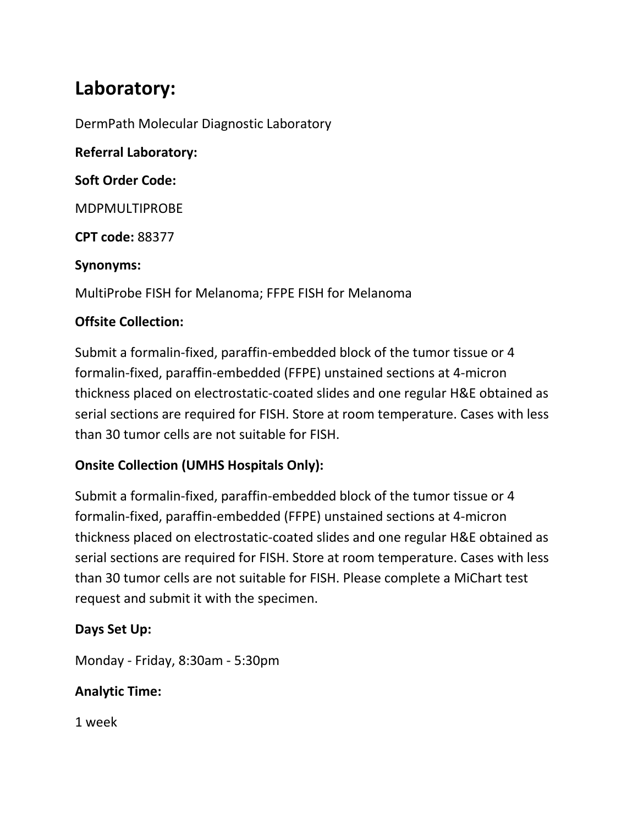# **Laboratory:**

DermPath Molecular Diagnostic Laboratory

**Referral Laboratory: Soft Order Code:**  MDPMULTIPROBE **CPT code:** 88377 **Synonyms:** 

MultiProbe FISH for Melanoma; FFPE FISH for Melanoma

## **Offsite Collection:**

Submit a formalin-fixed, paraffin-embedded block of the tumor tissue or 4 formalin-fixed, paraffin-embedded (FFPE) unstained sections at 4-micron thickness placed on electrostatic-coated slides and one regular H&E obtained as serial sections are required for FISH. Store at room temperature. Cases with less than 30 tumor cells are not suitable for FISH.

# **Onsite Collection (UMHS Hospitals Only):**

Submit a formalin-fixed, paraffin-embedded block of the tumor tissue or 4 formalin-fixed, paraffin-embedded (FFPE) unstained sections at 4-micron thickness placed on electrostatic-coated slides and one regular H&E obtained as serial sections are required for FISH. Store at room temperature. Cases with less than 30 tumor cells are not suitable for FISH. Please complete a MiChart test request and submit it with the specimen.

## **Days Set Up:**

Monday - Friday, 8:30am - 5:30pm

## **Analytic Time:**

1 week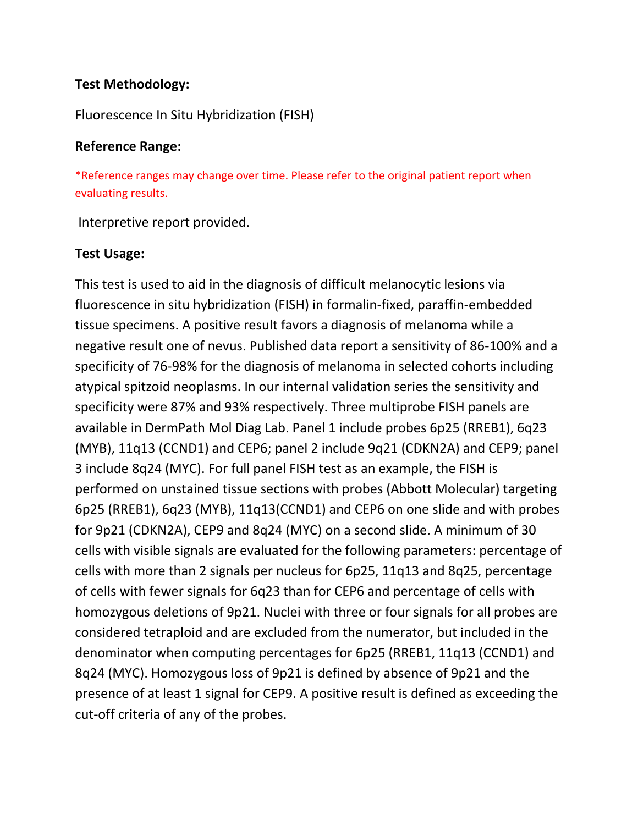#### **Test Methodology:**

#### Fluorescence In Situ Hybridization (FISH)

#### **Reference Range:**

\*Reference ranges may change over time. Please refer to the original patient report when evaluating results.

Interpretive report provided.

#### **Test Usage:**

This test is used to aid in the diagnosis of difficult melanocytic lesions via fluorescence in situ hybridization (FISH) in formalin-fixed, paraffin-embedded tissue specimens. A positive result favors a diagnosis of melanoma while a negative result one of nevus. Published data report a sensitivity of 86-100% and a specificity of 76-98% for the diagnosis of melanoma in selected cohorts including atypical spitzoid neoplasms. In our internal validation series the sensitivity and specificity were 87% and 93% respectively. Three multiprobe FISH panels are available in DermPath Mol Diag Lab. Panel 1 include probes 6p25 (RREB1), 6q23 (MYB), 11q13 (CCND1) and CEP6; panel 2 include 9q21 (CDKN2A) and CEP9; panel 3 include 8q24 (MYC). For full panel FISH test as an example, the FISH is performed on unstained tissue sections with probes (Abbott Molecular) targeting 6p25 (RREB1), 6q23 (MYB), 11q13(CCND1) and CEP6 on one slide and with probes for 9p21 (CDKN2A), CEP9 and 8q24 (MYC) on a second slide. A minimum of 30 cells with visible signals are evaluated for the following parameters: percentage of cells with more than 2 signals per nucleus for 6p25, 11q13 and 8q25, percentage of cells with fewer signals for 6q23 than for CEP6 and percentage of cells with homozygous deletions of 9p21. Nuclei with three or four signals for all probes are considered tetraploid and are excluded from the numerator, but included in the denominator when computing percentages for 6p25 (RREB1, 11q13 (CCND1) and 8q24 (MYC). Homozygous loss of 9p21 is defined by absence of 9p21 and the presence of at least 1 signal for CEP9. A positive result is defined as exceeding the cut-off criteria of any of the probes.